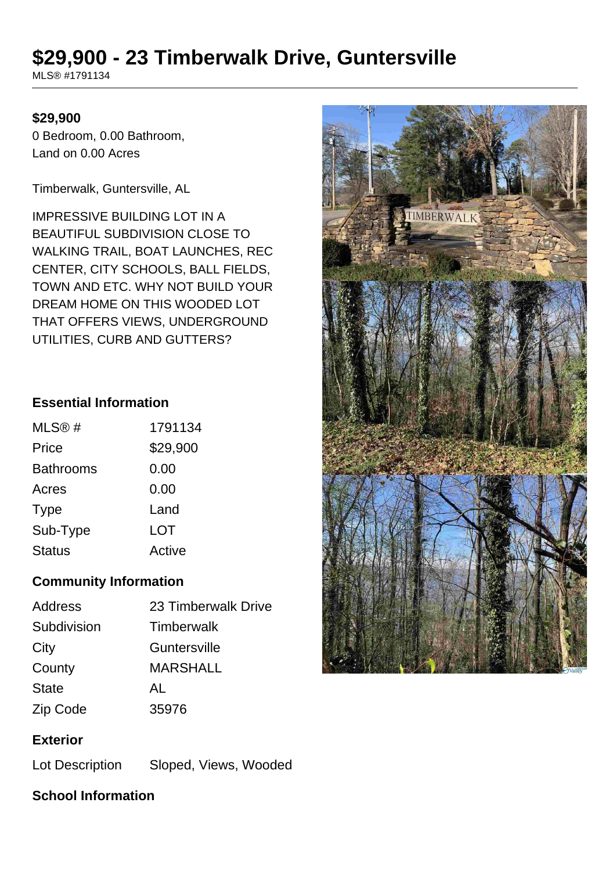# **\$29,900 - 23 Timberwalk Drive, Guntersville**

MLS® #1791134

#### **\$29,900**

0 Bedroom, 0.00 Bathroom, Land on 0.00 Acres

Timberwalk, Guntersville, AL

IMPRESSIVE BUILDING LOT IN A BEAUTIFUL SUBDIVISION CLOSE TO WALKING TRAIL, BOAT LAUNCHES, REC CENTER, CITY SCHOOLS, BALL FIELDS, TOWN AND ETC. WHY NOT BUILD YOUR DREAM HOME ON THIS WOODED LOT THAT OFFERS VIEWS, UNDERGROUND UTILITIES, CURB AND GUTTERS?

#### **Essential Information**

| MLS@#            | 1791134  |
|------------------|----------|
| Price            | \$29,900 |
| <b>Bathrooms</b> | 0.00     |
| Acres            | 0.00     |
| <b>Type</b>      | Land     |
| Sub-Type         | LOT      |
| <b>Status</b>    | Active   |

### **Community Information**

| 23 Timberwalk Drive |
|---------------------|
| <b>Timberwalk</b>   |
| Guntersville        |
| <b>MARSHALL</b>     |
| AL                  |
| 35976               |
|                     |

### **Exterior**

Lot Description Sloped, Views, Wooded

# **School Information**